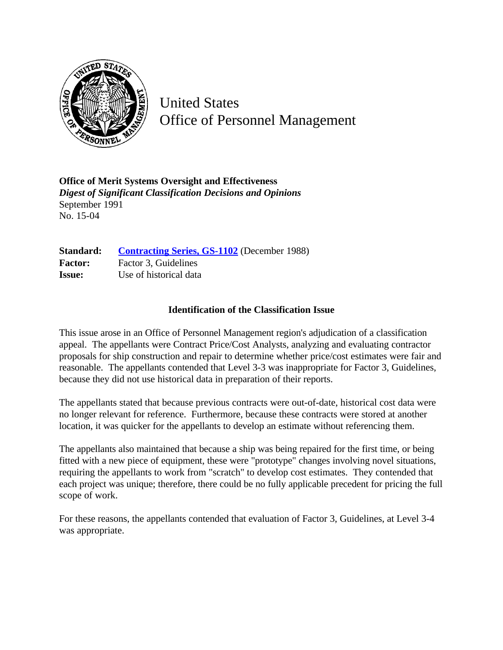

United States Office of Personnel Management

**Office of Merit Systems Oversight and Effectiveness** *Digest of Significant Classification Decisions and Opinions* September 1991 No. 15-04

Standard: **[Contracting Series, GS-1102](http://www.opm.gov/hr/fedclass/gs1102.pdf)** (December 1988) **Factor:** Factor 3, Guidelines **Issue:** Use of historical data

## **Identification of the Classification Issue**

This issue arose in an Office of Personnel Management region's adjudication of a classification appeal. The appellants were Contract Price/Cost Analysts, analyzing and evaluating contractor proposals for ship construction and repair to determine whether price/cost estimates were fair and reasonable. The appellants contended that Level 3-3 was inappropriate for Factor 3, Guidelines, because they did not use historical data in preparation of their reports.

The appellants stated that because previous contracts were out-of-date, historical cost data were no longer relevant for reference. Furthermore, because these contracts were stored at another location, it was quicker for the appellants to develop an estimate without referencing them.

The appellants also maintained that because a ship was being repaired for the first time, or being fitted with a new piece of equipment, these were "prototype" changes involving novel situations, requiring the appellants to work from "scratch" to develop cost estimates. They contended that each project was unique; therefore, there could be no fully applicable precedent for pricing the full scope of work.

For these reasons, the appellants contended that evaluation of Factor 3, Guidelines, at Level 3-4 was appropriate.